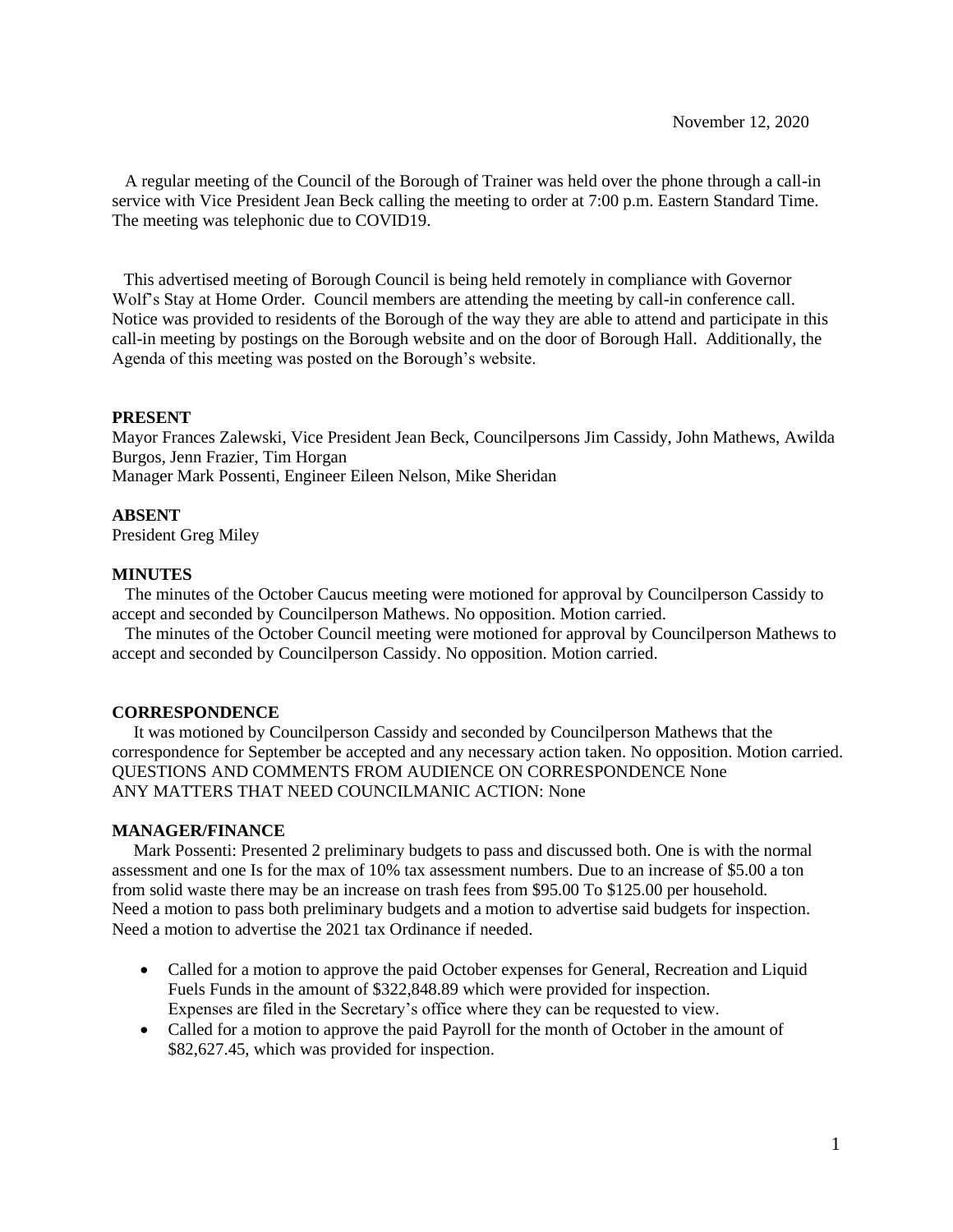A regular meeting of the Council of the Borough of Trainer was held over the phone through a call-in service with Vice President Jean Beck calling the meeting to order at 7:00 p.m. Eastern Standard Time. The meeting was telephonic due to COVID19.

 This advertised meeting of Borough Council is being held remotely in compliance with Governor Wolf's Stay at Home Order. Council members are attending the meeting by call-in conference call. Notice was provided to residents of the Borough of the way they are able to attend and participate in this call-in meeting by postings on the Borough website and on the door of Borough Hall. Additionally, the Agenda of this meeting was posted on the Borough's website.

### **PRESENT**

Mayor Frances Zalewski, Vice President Jean Beck, Councilpersons Jim Cassidy, John Mathews, Awilda Burgos, Jenn Frazier, Tim Horgan Manager Mark Possenti, Engineer Eileen Nelson, Mike Sheridan

### **ABSENT**

President Greg Miley

### **MINUTES**

 The minutes of the October Caucus meeting were motioned for approval by Councilperson Cassidy to accept and seconded by Councilperson Mathews. No opposition. Motion carried.

The minutes of the October Council meeting were motioned for approval by Councilperson Mathews to accept and seconded by Councilperson Cassidy. No opposition. Motion carried.

#### **CORRESPONDENCE**

 It was motioned by Councilperson Cassidy and seconded by Councilperson Mathews that the correspondence for September be accepted and any necessary action taken. No opposition. Motion carried. QUESTIONS AND COMMENTS FROM AUDIENCE ON CORRESPONDENCE None ANY MATTERS THAT NEED COUNCILMANIC ACTION: None

### **MANAGER/FINANCE**

 Mark Possenti: Presented 2 preliminary budgets to pass and discussed both. One is with the normal assessment and one Is for the max of 10% tax assessment numbers. Due to an increase of \$5.00 a ton from solid waste there may be an increase on trash fees from \$95.00 To \$125.00 per household. Need a motion to pass both preliminary budgets and a motion to advertise said budgets for inspection. Need a motion to advertise the 2021 tax Ordinance if needed.

- Called for a motion to approve the paid October expenses for General, Recreation and Liquid Fuels Funds in the amount of \$322,848.89 which were provided for inspection. Expenses are filed in the Secretary's office where they can be requested to view.
- Called for a motion to approve the paid Payroll for the month of October in the amount of \$82,627.45, which was provided for inspection.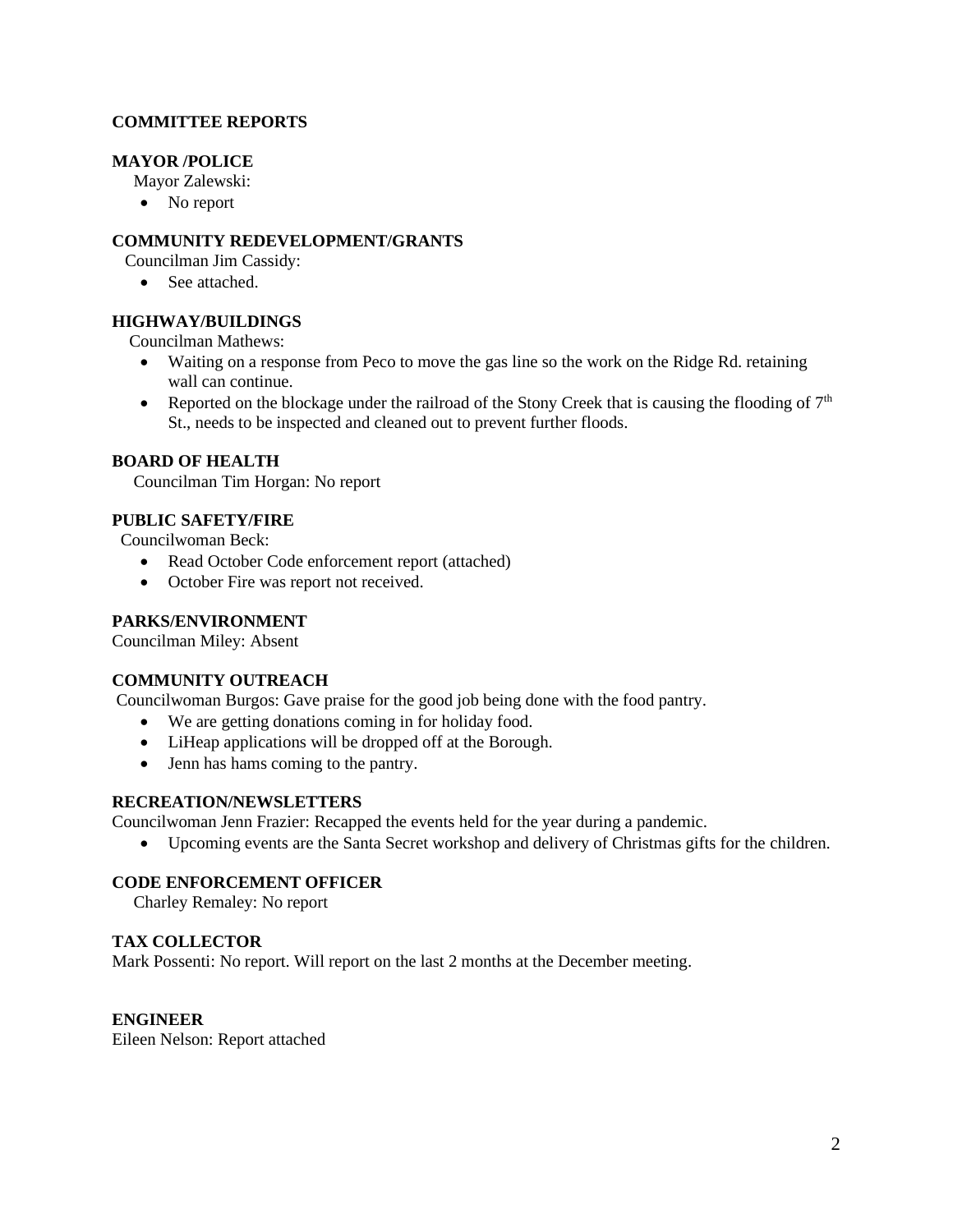# **COMMITTEE REPORTS**

# **MAYOR /POLICE**

Mayor Zalewski:

• No report

# **COMMUNITY REDEVELOPMENT/GRANTS**

Councilman Jim Cassidy:

• See attached.

# **HIGHWAY/BUILDINGS**

Councilman Mathews:

- Waiting on a response from Peco to move the gas line so the work on the Ridge Rd. retaining wall can continue.
- Reported on the blockage under the railroad of the Stony Creek that is causing the flooding of  $7<sup>th</sup>$ St., needs to be inspected and cleaned out to prevent further floods.

### **BOARD OF HEALTH**

Councilman Tim Horgan: No report

### **PUBLIC SAFETY/FIRE**

Councilwoman Beck:

- Read October Code enforcement report (attached)
- October Fire was report not received.

## **PARKS/ENVIRONMENT**

Councilman Miley: Absent

## **COMMUNITY OUTREACH**

Councilwoman Burgos: Gave praise for the good job being done with the food pantry.

- We are getting donations coming in for holiday food.
- LiHeap applications will be dropped off at the Borough.
- Jenn has hams coming to the pantry.

### **RECREATION/NEWSLETTERS**

Councilwoman Jenn Frazier: Recapped the events held for the year during a pandemic.

• Upcoming events are the Santa Secret workshop and delivery of Christmas gifts for the children.

# **CODE ENFORCEMENT OFFICER**

Charley Remaley: No report

## **TAX COLLECTOR**

Mark Possenti: No report. Will report on the last 2 months at the December meeting.

### **ENGINEER**

Eileen Nelson: Report attached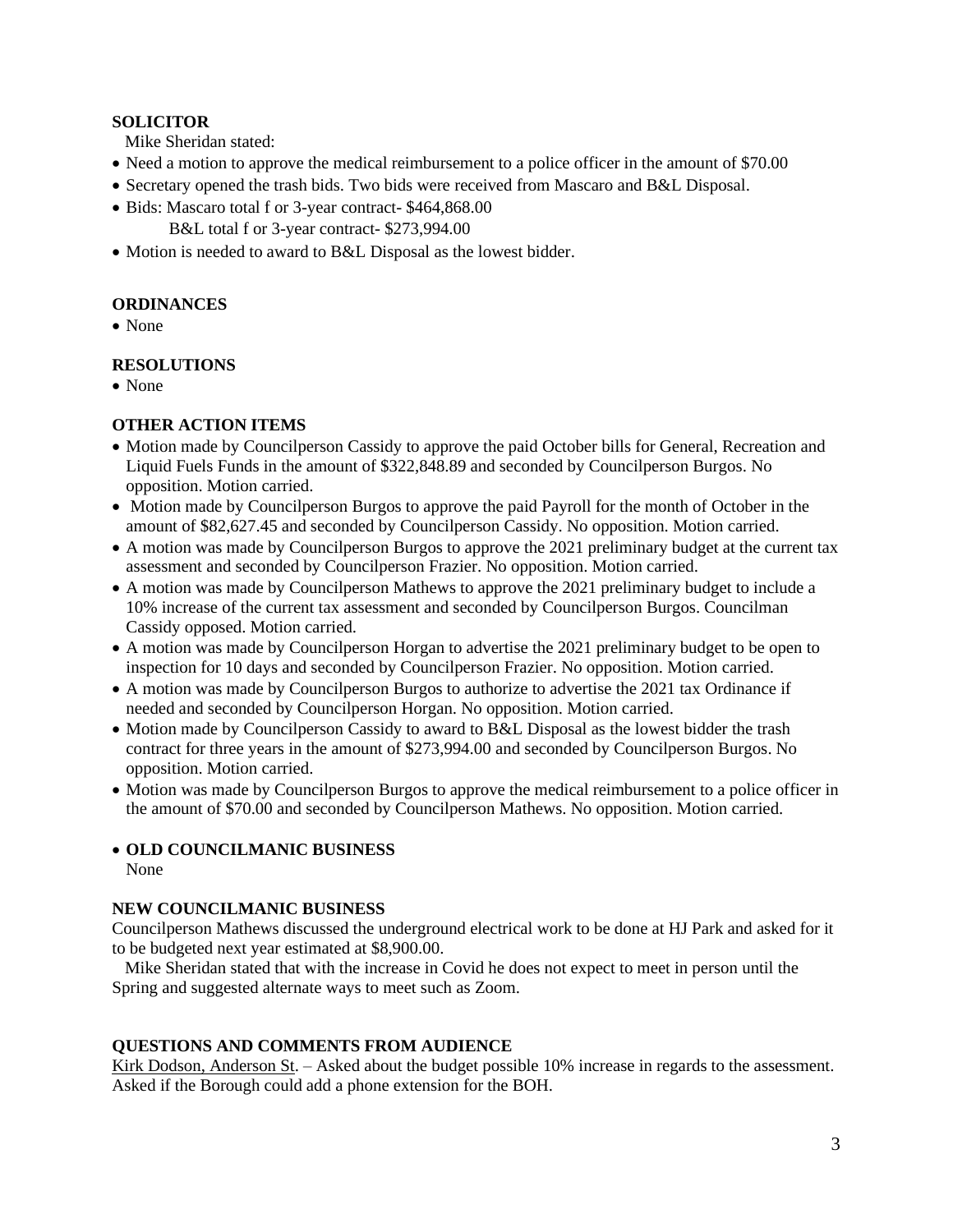## **SOLICITOR**

Mike Sheridan stated:

- Need a motion to approve the medical reimbursement to a police officer in the amount of \$70.00
- Secretary opened the trash bids. Two bids were received from Mascaro and B&L Disposal.
- Bids: Mascaro total f or 3-year contract- \$464,868.00

B&L total f or 3-year contract- \$273,994.00

• Motion is needed to award to B&L Disposal as the lowest bidder.

# **ORDINANCES**

• None

# **RESOLUTIONS**

• None

# **OTHER ACTION ITEMS**

- Motion made by Councilperson Cassidy to approve the paid October bills for General, Recreation and Liquid Fuels Funds in the amount of \$322,848.89 and seconded by Councilperson Burgos. No opposition. Motion carried.
- Motion made by Councilperson Burgos to approve the paid Payroll for the month of October in the amount of \$82,627.45 and seconded by Councilperson Cassidy. No opposition. Motion carried.
- A motion was made by Councilperson Burgos to approve the 2021 preliminary budget at the current tax assessment and seconded by Councilperson Frazier. No opposition. Motion carried.
- A motion was made by Councilperson Mathews to approve the 2021 preliminary budget to include a 10% increase of the current tax assessment and seconded by Councilperson Burgos. Councilman Cassidy opposed. Motion carried.
- A motion was made by Councilperson Horgan to advertise the 2021 preliminary budget to be open to inspection for 10 days and seconded by Councilperson Frazier. No opposition. Motion carried.
- A motion was made by Councilperson Burgos to authorize to advertise the 2021 tax Ordinance if needed and seconded by Councilperson Horgan. No opposition. Motion carried.
- Motion made by Councilperson Cassidy to award to B&L Disposal as the lowest bidder the trash contract for three years in the amount of \$273,994.00 and seconded by Councilperson Burgos. No opposition. Motion carried.
- Motion was made by Councilperson Burgos to approve the medical reimbursement to a police officer in the amount of \$70.00 and seconded by Councilperson Mathews. No opposition. Motion carried.

# • **OLD COUNCILMANIC BUSINESS**

None

# **NEW COUNCILMANIC BUSINESS**

Councilperson Mathews discussed the underground electrical work to be done at HJ Park and asked for it to be budgeted next year estimated at \$8,900.00.

 Mike Sheridan stated that with the increase in Covid he does not expect to meet in person until the Spring and suggested alternate ways to meet such as Zoom.

# **QUESTIONS AND COMMENTS FROM AUDIENCE**

Kirk Dodson, Anderson St. – Asked about the budget possible 10% increase in regards to the assessment. Asked if the Borough could add a phone extension for the BOH.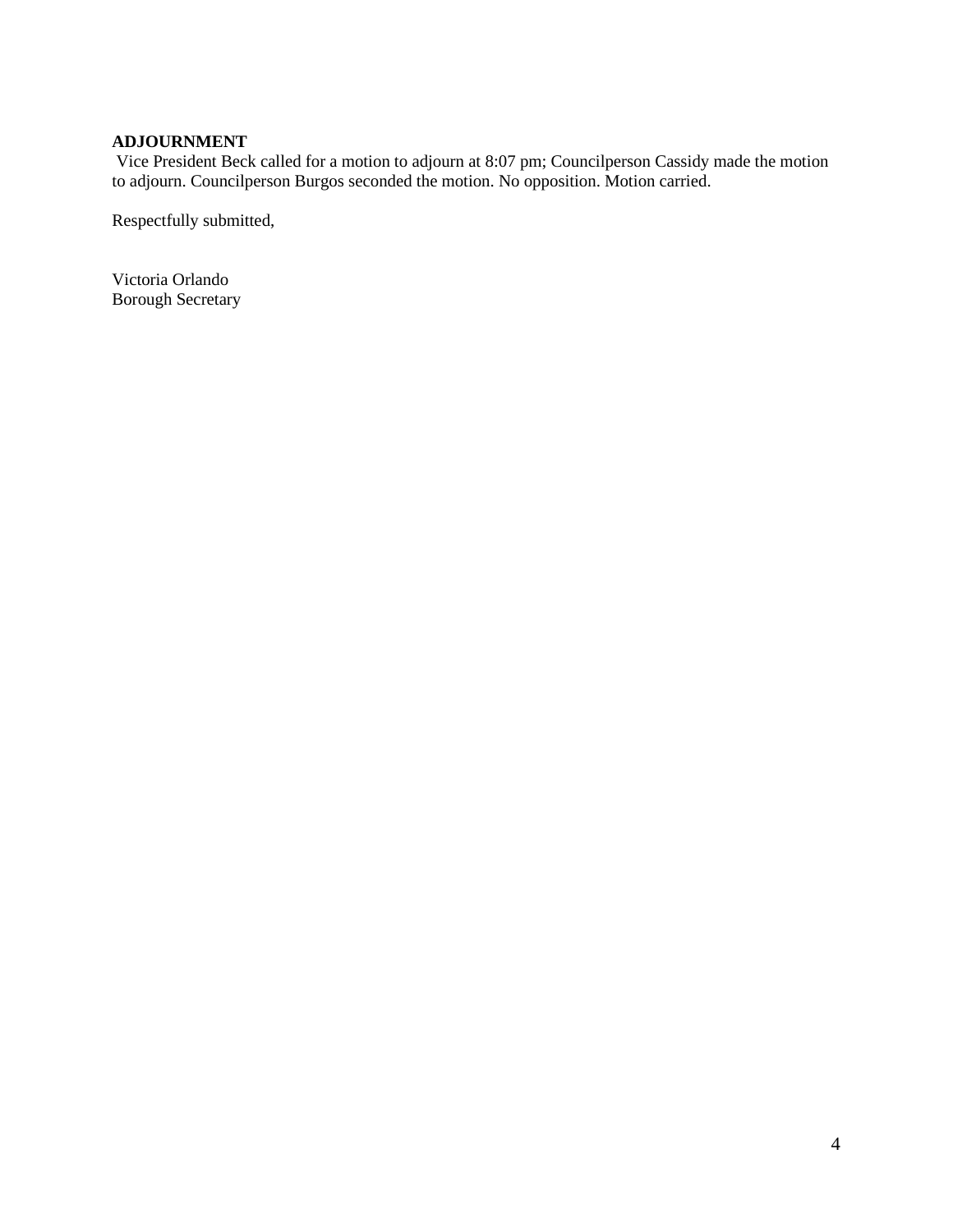# **ADJOURNMENT**

Vice President Beck called for a motion to adjourn at 8:07 pm; Councilperson Cassidy made the motion to adjourn. Councilperson Burgos seconded the motion. No opposition. Motion carried.

Respectfully submitted,

Victoria Orlando Borough Secretary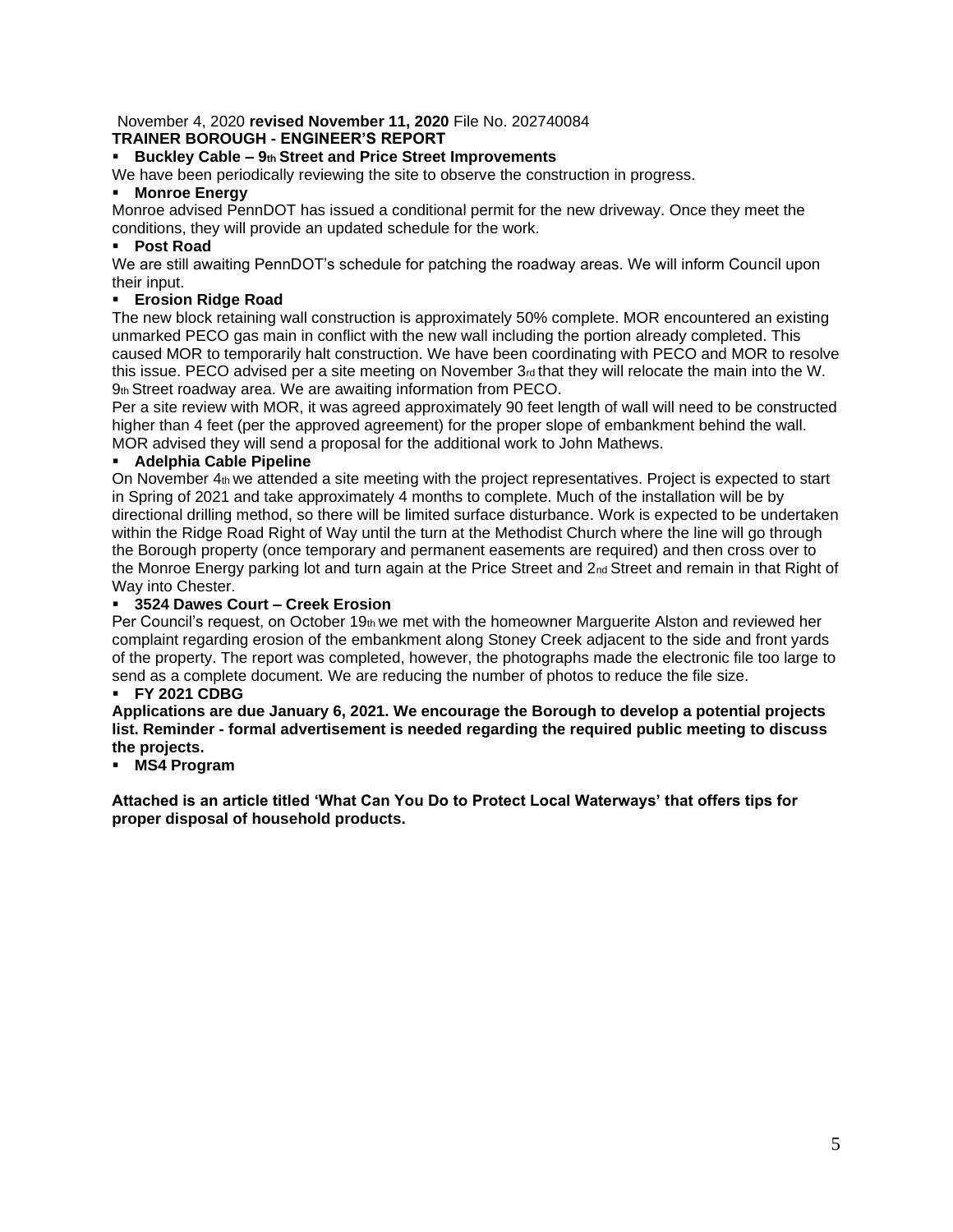### November 4, 2020 **revised November 11, 2020** File No. 202740084 **TRAINER BOROUGH - ENGINEER'S REPORT**

### ▪ **Buckley Cable – 9th Street and Price Street Improvements**

We have been periodically reviewing the site to observe the construction in progress.

### ▪ **Monroe Energy**

Monroe advised PennDOT has issued a conditional permit for the new driveway. Once they meet the conditions, they will provide an updated schedule for the work.

## ▪ **Post Road**

We are still awaiting PennDOT's schedule for patching the roadway areas. We will inform Council upon their input.

## **Erosion Ridge Road**

The new block retaining wall construction is approximately 50% complete. MOR encountered an existing unmarked PECO gas main in conflict with the new wall including the portion already completed. This caused MOR to temporarily halt construction. We have been coordinating with PECO and MOR to resolve this issue. PECO advised per a site meeting on November 3rd that they will relocate the main into the W. 9th Street roadway area. We are awaiting information from PECO.

Per a site review with MOR, it was agreed approximately 90 feet length of wall will need to be constructed higher than 4 feet (per the approved agreement) for the proper slope of embankment behind the wall. MOR advised they will send a proposal for the additional work to John Mathews.

## ▪ **Adelphia Cable Pipeline**

On November 4th we attended a site meeting with the project representatives. Project is expected to start in Spring of 2021 and take approximately 4 months to complete. Much of the installation will be by directional drilling method, so there will be limited surface disturbance. Work is expected to be undertaken within the Ridge Road Right of Way until the turn at the Methodist Church where the line will go through the Borough property (once temporary and permanent easements are required) and then cross over to the Monroe Energy parking lot and turn again at the Price Street and 2nd Street and remain in that Right of Way into Chester.

### ▪ **3524 Dawes Court – Creek Erosion**

Per Council's request, on October 19th we met with the homeowner Marguerite Alston and reviewed her complaint regarding erosion of the embankment along Stoney Creek adjacent to the side and front yards of the property. The report was completed, however, the photographs made the electronic file too large to send as a complete document. We are reducing the number of photos to reduce the file size.

## ▪ **FY 2021 CDBG**

**Applications are due January 6, 2021. We encourage the Borough to develop a potential projects list. Reminder - formal advertisement is needed regarding the required public meeting to discuss the projects.** 

## ▪ **MS4 Program**

**Attached is an article titled 'What Can You Do to Protect Local Waterways' that offers tips for proper disposal of household products.**